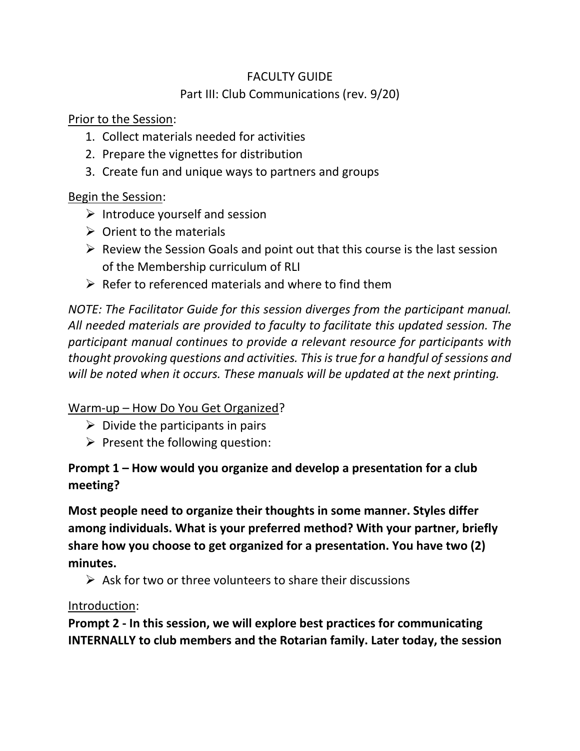# FACULTY GUIDE Part III: Club Communications (rev. 9/20)

Prior to the Session:

- 1. Collect materials needed for activities
- 2. Prepare the vignettes for distribution
- 3. Create fun and unique ways to partners and groups

## Begin the Session:

- $\triangleright$  Introduce yourself and session
- $\triangleright$  Orient to the materials
- $\triangleright$  Review the Session Goals and point out that this course is the last session of the Membership curriculum of RLI
- $\triangleright$  Refer to referenced materials and where to find them

*NOTE: The Facilitator Guide for this session diverges from the participant manual. All needed materials are provided to faculty to facilitate this updated session. The participant manual continues to provide a relevant resource for participants with thought provoking questions and activities. This is true for a handful of sessions and will be noted when it occurs. These manuals will be updated at the next printing.*

## Warm-up – How Do You Get Organized?

- $\triangleright$  Divide the participants in pairs
- $\triangleright$  Present the following question:

# **Prompt 1 – How would you organize and develop a presentation for a club meeting?**

**Most people need to organize their thoughts in some manner. Styles differ among individuals. What is your preferred method? With your partner, briefly share how you choose to get organized for a presentation. You have two (2) minutes.** 

 $\triangleright$  Ask for two or three volunteers to share their discussions

Introduction:

**Prompt 2 - In this session, we will explore best practices for communicating INTERNALLY to club members and the Rotarian family. Later today, the session**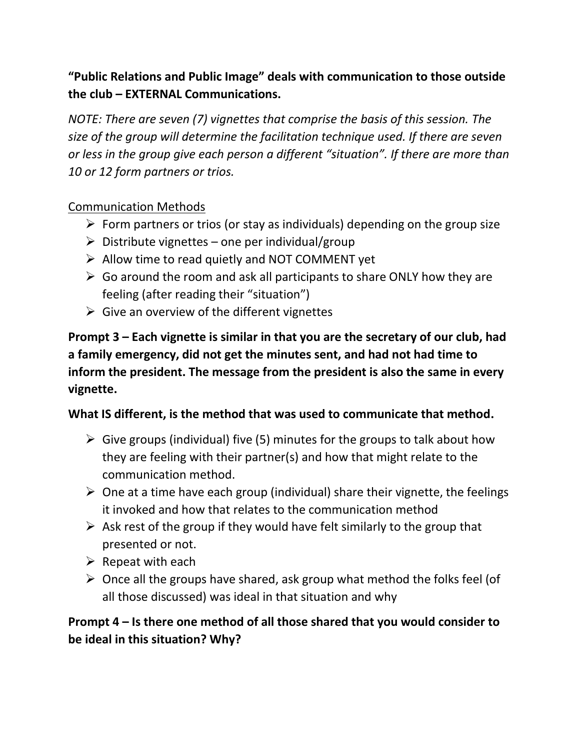## **"Public Relations and Public Image" deals with communication to those outside the club – EXTERNAL Communications.**

*NOTE: There are seven (7) vignettes that comprise the basis of this session. The size of the group will determine the facilitation technique used. If there are seven or less in the group give each person a different "situation". If there are more than 10 or 12 form partners or trios.* 

#### Communication Methods

- $\triangleright$  Form partners or trios (or stay as individuals) depending on the group size
- $\triangleright$  Distribute vignettes one per individual/group
- ➢ Allow time to read quietly and NOT COMMENT yet
- $\triangleright$  Go around the room and ask all participants to share ONLY how they are feeling (after reading their "situation")
- $\triangleright$  Give an overview of the different vignettes

**Prompt 3 – Each vignette is similar in that you are the secretary of our club, had a family emergency, did not get the minutes sent, and had not had time to inform the president. The message from the president is also the same in every vignette.** 

#### **What IS different, is the method that was used to communicate that method.**

- $\triangleright$  Give groups (individual) five (5) minutes for the groups to talk about how they are feeling with their partner(s) and how that might relate to the communication method.
- $\triangleright$  One at a time have each group (individual) share their vignette, the feelings it invoked and how that relates to the communication method
- $\triangleright$  Ask rest of the group if they would have felt similarly to the group that presented or not.
- $\triangleright$  Repeat with each
- $\triangleright$  Once all the groups have shared, ask group what method the folks feel (of all those discussed) was ideal in that situation and why

**Prompt 4 – Is there one method of all those shared that you would consider to be ideal in this situation? Why?**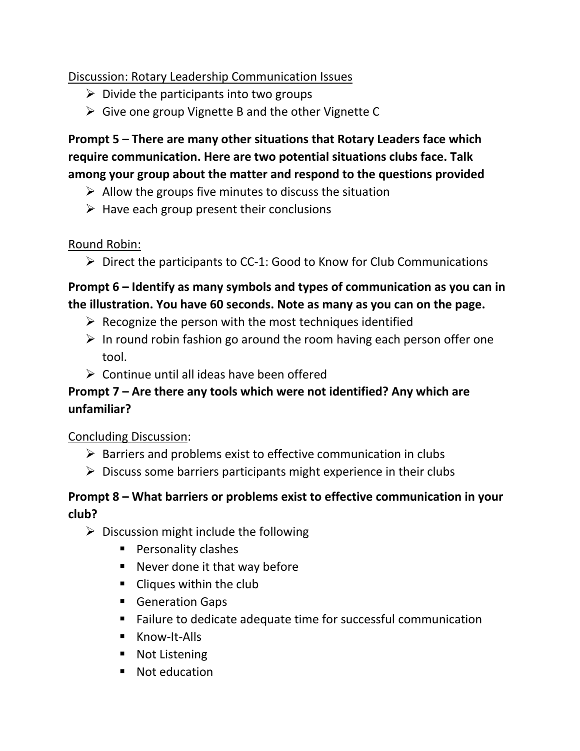## Discussion: Rotary Leadership Communication Issues

- $\triangleright$  Divide the participants into two groups
- $\triangleright$  Give one group Vignette B and the other Vignette C

## **Prompt 5 – There are many other situations that Rotary Leaders face which require communication. Here are two potential situations clubs face. Talk among your group about the matter and respond to the questions provided**

- $\triangleright$  Allow the groups five minutes to discuss the situation
- $\triangleright$  Have each group present their conclusions

#### Round Robin:

 $\triangleright$  Direct the participants to CC-1: Good to Know for Club Communications

## **Prompt 6 – Identify as many symbols and types of communication as you can in the illustration. You have 60 seconds. Note as many as you can on the page.**

- $\triangleright$  Recognize the person with the most techniques identified
- $\triangleright$  In round robin fashion go around the room having each person offer one tool.
- $\triangleright$  Continue until all ideas have been offered

## **Prompt 7 – Are there any tools which were not identified? Any which are unfamiliar?**

## Concluding Discussion:

- $\triangleright$  Barriers and problems exist to effective communication in clubs
- $\triangleright$  Discuss some barriers participants might experience in their clubs

## **Prompt 8 – What barriers or problems exist to effective communication in your club?**

- $\triangleright$  Discussion might include the following
	- Personality clashes
	- Never done it that way before
	- Cliques within the club
	- Generation Gaps
	- Failure to dedicate adequate time for successful communication
	- Know-It-Alls
	- Not Listening
	- Not education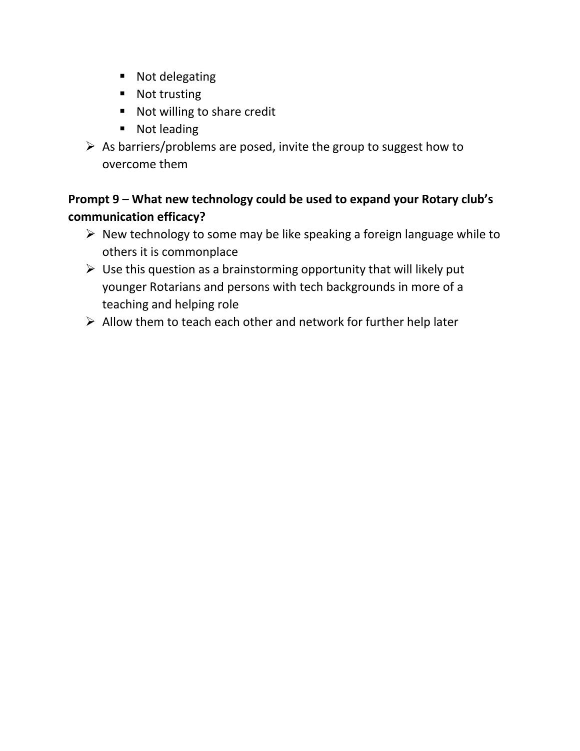- Not delegating
- Not trusting
- Not willing to share credit
- Not leading
- $\triangleright$  As barriers/problems are posed, invite the group to suggest how to overcome them

# **Prompt 9 – What new technology could be used to expand your Rotary club's communication efficacy?**

- $\triangleright$  New technology to some may be like speaking a foreign language while to others it is commonplace
- $\triangleright$  Use this question as a brainstorming opportunity that will likely put younger Rotarians and persons with tech backgrounds in more of a teaching and helping role
- $\triangleright$  Allow them to teach each other and network for further help later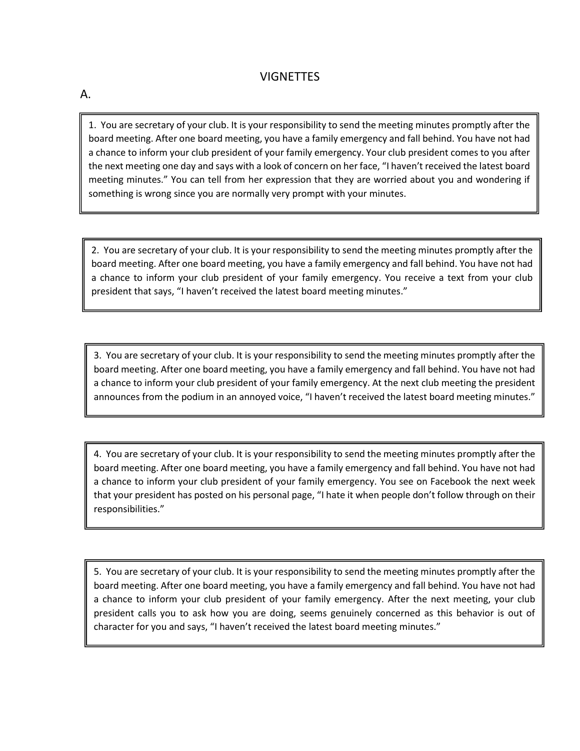#### VIGNETTES

A.

1. You are secretary of your club. It is your responsibility to send the meeting minutes promptly after the board meeting. After one board meeting, you have a family emergency and fall behind. You have not had a chance to inform your club president of your family emergency. Your club president comes to you after the next meeting one day and says with a look of concern on her face, "I haven't received the latest board meeting minutes." You can tell from her expression that they are worried about you and wondering if something is wrong since you are normally very prompt with your minutes.

2. You are secretary of your club. It is your responsibility to send the meeting minutes promptly after the board meeting. After one board meeting, you have a family emergency and fall behind. You have not had a chance to inform your club president of your family emergency. You receive a text from your club president that says, "I haven't received the latest board meeting minutes."

3. You are secretary of your club. It is your responsibility to send the meeting minutes promptly after the board meeting. After one board meeting, you have a family emergency and fall behind. You have not had a chance to inform your club president of your family emergency. At the next club meeting the president announces from the podium in an annoyed voice, "I haven't received the latest board meeting minutes."

4. You are secretary of your club. It is your responsibility to send the meeting minutes promptly after the board meeting. After one board meeting, you have a family emergency and fall behind. You have not had a chance to inform your club president of your family emergency. You see on Facebook the next week that your president has posted on his personal page, "I hate it when people don't follow through on their responsibilities."

5. You are secretary of your club. It is your responsibility to send the meeting minutes promptly after the board meeting. After one board meeting, you have a family emergency and fall behind. You have not had a chance to inform your club president of your family emergency. After the next meeting, your club president calls you to ask how you are doing, seems genuinely concerned as this behavior is out of character for you and says, "I haven't received the latest board meeting minutes."